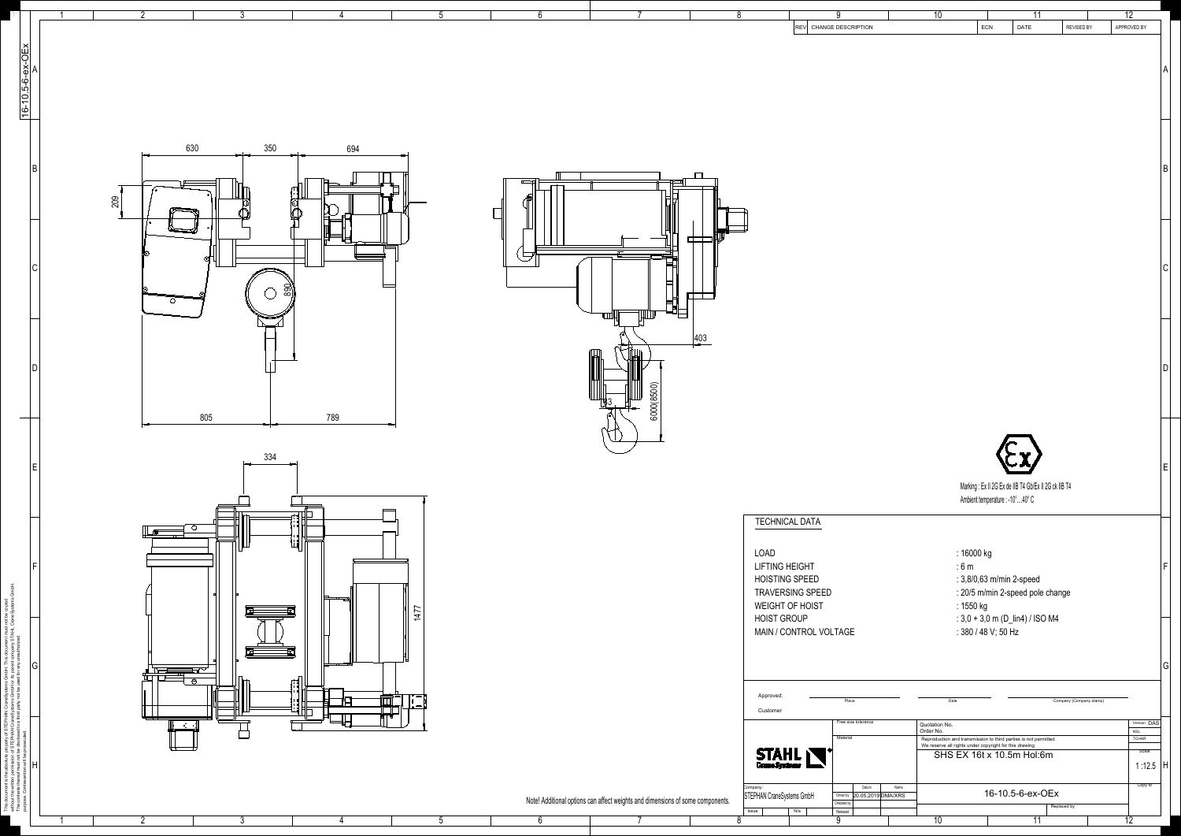This document is the absolute property of STEPHAN CraneSystems GmbH. This document must not be copied without the written permission of STEPHAN CraneSystems GmbH or its parent company STAHL CraneSystems GmbH. The contents thereof must not be disclosed to a third party nor be used for any unauthorized purpose. Contravention will be prosecuted.  $\mathbf{Z} = \mathbf{X} - \mathbf{0}$ 

|                                               | -3<br>$\overline{2}$<br>. ხ                                                                                                                                                                                                                                                                                                                                                                                                                                                                                                  |                                                                                | 8<br>$\vert$ REV $\vert$ CHANGE DESCRIPTION                         | $\overline{10}$<br>11<br>ECN<br>DATE<br><b>REVISED BY</b>                                                                                              | $\overline{12}$<br>APPROVED BY |
|-----------------------------------------------|------------------------------------------------------------------------------------------------------------------------------------------------------------------------------------------------------------------------------------------------------------------------------------------------------------------------------------------------------------------------------------------------------------------------------------------------------------------------------------------------------------------------------|--------------------------------------------------------------------------------|---------------------------------------------------------------------|--------------------------------------------------------------------------------------------------------------------------------------------------------|--------------------------------|
|                                               |                                                                                                                                                                                                                                                                                                                                                                                                                                                                                                                              |                                                                                |                                                                     |                                                                                                                                                        |                                |
| 16-10.5-6-ex-OEx                              |                                                                                                                                                                                                                                                                                                                                                                                                                                                                                                                              |                                                                                |                                                                     |                                                                                                                                                        |                                |
|                                               |                                                                                                                                                                                                                                                                                                                                                                                                                                                                                                                              |                                                                                |                                                                     |                                                                                                                                                        |                                |
|                                               |                                                                                                                                                                                                                                                                                                                                                                                                                                                                                                                              |                                                                                |                                                                     |                                                                                                                                                        |                                |
|                                               | 350<br>630<br>694                                                                                                                                                                                                                                                                                                                                                                                                                                                                                                            |                                                                                |                                                                     |                                                                                                                                                        |                                |
|                                               |                                                                                                                                                                                                                                                                                                                                                                                                                                                                                                                              |                                                                                |                                                                     |                                                                                                                                                        |                                |
|                                               | 209                                                                                                                                                                                                                                                                                                                                                                                                                                                                                                                          |                                                                                |                                                                     |                                                                                                                                                        |                                |
|                                               |                                                                                                                                                                                                                                                                                                                                                                                                                                                                                                                              | $\Box$                                                                         |                                                                     |                                                                                                                                                        |                                |
|                                               |                                                                                                                                                                                                                                                                                                                                                                                                                                                                                                                              | 昌                                                                              |                                                                     |                                                                                                                                                        | ∣∪                             |
|                                               | 890<br>$\circ$<br>╼                                                                                                                                                                                                                                                                                                                                                                                                                                                                                                          | $\mathbb{H}^\mathbb{H}$                                                        |                                                                     |                                                                                                                                                        |                                |
|                                               |                                                                                                                                                                                                                                                                                                                                                                                                                                                                                                                              | $\frac{403}{2}$                                                                |                                                                     |                                                                                                                                                        |                                |
|                                               |                                                                                                                                                                                                                                                                                                                                                                                                                                                                                                                              |                                                                                |                                                                     |                                                                                                                                                        |                                |
|                                               |                                                                                                                                                                                                                                                                                                                                                                                                                                                                                                                              | 6000(8500)                                                                     |                                                                     |                                                                                                                                                        |                                |
| $\overline{\phantom{0}}$                      | 805<br>789<br>┯                                                                                                                                                                                                                                                                                                                                                                                                                                                                                                              |                                                                                |                                                                     |                                                                                                                                                        |                                |
|                                               | 334                                                                                                                                                                                                                                                                                                                                                                                                                                                                                                                          |                                                                                |                                                                     |                                                                                                                                                        |                                |
|                                               |                                                                                                                                                                                                                                                                                                                                                                                                                                                                                                                              |                                                                                |                                                                     | Marking : Ex II 2G Ex de IIB T4 Gb/Ex II 2G ck IIB T4                                                                                                  |                                |
|                                               |                                                                                                                                                                                                                                                                                                                                                                                                                                                                                                                              |                                                                                | <b>TECHNICAL DATA</b>                                               | Ambient temperature : -10°40° C                                                                                                                        |                                |
|                                               | $\mathbb{H}$<br>$\begin{array}{c} \begin{array}{c} \begin{array}{c} \bullet \\ \bullet \end{array} \end{array} \begin{array}{c} \begin{array}{c} \bullet \\ \bullet \end{array} \end{array} \begin{array}{c} \begin{array}{c} \bullet \\ \bullet \end{array} \end{array} \begin{array}{c} \begin{array}{c} \bullet \\ \bullet \end{array} \end{array} \begin{array}{c} \begin{array}{c} \bullet \\ \bullet \end{array} \end{array} \begin{array}{c} \begin{array}{c} \bullet \\ \bullet \end{array} \end{array} \end{array}$ |                                                                                | LOAD                                                                | : 16000 kg                                                                                                                                             |                                |
|                                               |                                                                                                                                                                                                                                                                                                                                                                                                                                                                                                                              |                                                                                | <b>LIFTING HEIGHT</b><br><b>HOISTING SPEED</b>                      | :6m<br>: 3,8/0,63 m/min 2-speed                                                                                                                        |                                |
|                                               | 'ب <del>ہے سے ا</del><br>1477                                                                                                                                                                                                                                                                                                                                                                                                                                                                                                |                                                                                | <b>TRAVERSING SPEED</b><br>WEIGHT OF HOIST                          | : 20/5 m/min 2-speed pole change<br>: 1550 kg                                                                                                          |                                |
|                                               |                                                                                                                                                                                                                                                                                                                                                                                                                                                                                                                              |                                                                                | <b>HOIST GROUP</b><br>MAIN / CONTROL VOLTAGE                        | : $3,0 + 3,0$ m (D_lin4) / ISO M4<br>: 380 / 48 V; 50 Hz                                                                                               |                                |
| G                                             | <u>╓╵╟┡╾┾╾╾╾╾┵┧╶</u><br>┰╖╓╒╼╼┷┽╌╱                                                                                                                                                                                                                                                                                                                                                                                                                                                                                           |                                                                                |                                                                     |                                                                                                                                                        | تا ا                           |
|                                               | $\mathbb{E}$<br>$\frac{1}{2}$<br>i de Hi<br><del>≢</del> ⊟ ∥°⇔'                                                                                                                                                                                                                                                                                                                                                                                                                                                              |                                                                                | Approved<br>Place                                                   | Date<br>Company (Company stamp)                                                                                                                        |                                |
|                                               |                                                                                                                                                                                                                                                                                                                                                                                                                                                                                                                              |                                                                                | Customer<br>Free size tolerance                                     | Quotation No.<br>Order No.                                                                                                                             | Version DAS<br><b>NSL</b>      |
|                                               |                                                                                                                                                                                                                                                                                                                                                                                                                                                                                                                              |                                                                                | Material<br><b>STAHL</b>                                            | Reproduction and transmission to third parties is not permitted<br>We reserve all rights under copyright for this drawing<br>SHS EX 16t x 10.5m Hol:6m | TCHAR<br>Scale                 |
|                                               |                                                                                                                                                                                                                                                                                                                                                                                                                                                                                                                              |                                                                                | Company:<br>Datum                                                   | Name                                                                                                                                                   | 1:12.5  H<br>Copy to           |
| The contents therectric<br>Purpose. Contraven |                                                                                                                                                                                                                                                                                                                                                                                                                                                                                                                              | Note! Additional options can affect weights and dimensions of some components. | STEPHAN CraneSystems GmbH<br>Checked by<br>N/a<br>Released<br>Issue | 16-10.5-6-ex-OEx<br>Drown by 20.05.2019 DMA/XRS<br>Replaced by<br>$\overline{10}$<br>$-11$                                                             |                                |

 $\begin{array}{cccccccccccccc} 1 & 2 & 3 & 4 & 5 & 6 & 7 & 8 & 9 & 10 & 11 & 12 \end{array}$